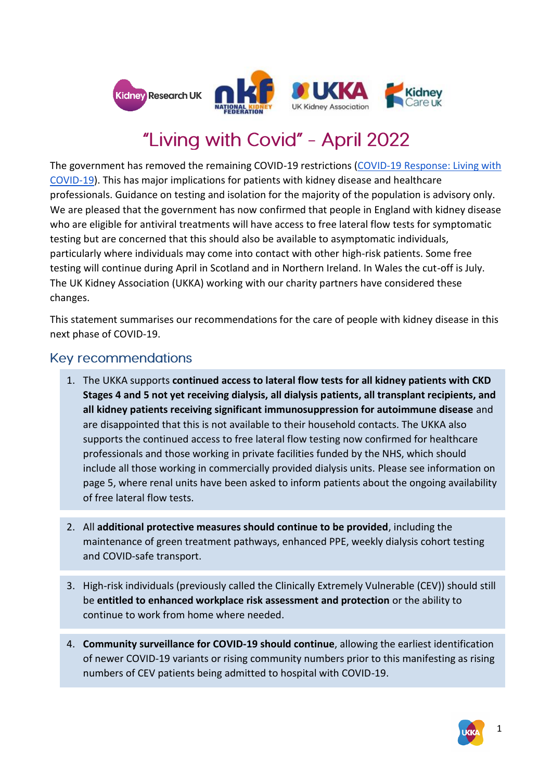

# "Living with Covid" - April 2022

The government has removed the remaining COVID-19 restrictions [\(COVID-19 Response: Living with](https://www.gov.uk/guidance/living-safely-with-respiratory-infections-including-covid-19?priority-taxon=774cee22-d896-44c1-a611-e3109cce8eae)  [COVID-19\)](https://www.gov.uk/guidance/living-safely-with-respiratory-infections-including-covid-19?priority-taxon=774cee22-d896-44c1-a611-e3109cce8eae). This has major implications for patients with kidney disease and healthcare professionals. Guidance on testing and isolation for the majority of the population is advisory only. We are pleased that the government has now confirmed that people in England with kidney disease who are eligible for antiviral treatments will have access to free lateral flow tests for symptomatic testing but are concerned that this should also be available to asymptomatic individuals, particularly where individuals may come into contact with other high-risk patients. Some free testing will continue during April in Scotland and in Northern Ireland. In Wales the cut-off is July. The UK Kidney Association (UKKA) working with our charity partners have considered these changes.

This statement summarises our recommendations for the care of people with kidney disease in this next phase of COVID-19.

## **Key recommendations**

- 1. The UKKA supports **continued access to lateral flow tests for all kidney patients with CKD Stages 4 and 5 not yet receiving dialysis, all dialysis patients, all transplant recipients, and all kidney patients receiving significant immunosuppression for autoimmune disease** and are disappointed that this is not available to their household contacts. The UKKA also supports the continued access to free lateral flow testing now confirmed for healthcare professionals and those working in private facilities funded by the NHS, which should include all those working in commercially provided dialysis units. Please see information on page 5, where renal units have been asked to inform patients about the ongoing availability of free lateral flow tests.
- 2. All **additional protective measures should continue to be provided**, including the maintenance of green treatment pathways, enhanced PPE, weekly dialysis cohort testing and COVID-safe transport.
- 3. High-risk individuals (previously called the Clinically Extremely Vulnerable (CEV)) should still be **entitled to enhanced workplace risk assessment and protection** or the ability to continue to work from home where needed.
- 4. **Community surveillance for COVID-19 should continue**, allowing the earliest identification of newer COVID-19 variants or rising community numbers prior to this manifesting as rising numbers of CEV patients being admitted to hospital with COVID-19.

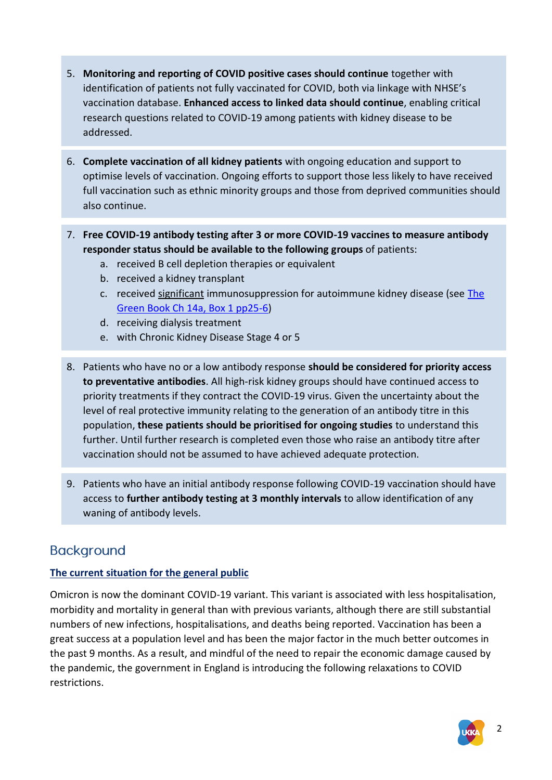- 5. **Monitoring and reporting of COVID positive cases should continue** together with identification of patients not fully vaccinated for COVID, both via linkage with NHSE's vaccination database. **Enhanced access to linked data should continue**, enabling critical research questions related to COVID-19 among patients with kidney disease to be addressed.
- 6. **Complete vaccination of all kidney patients** with ongoing education and support to optimise levels of vaccination. Ongoing efforts to support those less likely to have received full vaccination such as ethnic minority groups and those from deprived communities should also continue.
- 7. **Free COVID-19 antibody testing after 3 or more COVID-19 vaccines to measure antibody responder status should be available to the following groups** of patients:
	- a. received B cell depletion therapies or equivalent
	- b. received a kidney transplant
	- c. received significant immunosuppression for autoimmune kidney disease (see The [Green Book Ch 14a, Box 1 pp25-6\)](https://assets.publishing.service.gov.uk/government/uploads/system/uploads/attachment_data/file/1057798/Greenbook-chapter-14a-28Feb22.pdf)
	- d. receiving dialysis treatment
	- e. with Chronic Kidney Disease Stage 4 or 5
- 8. Patients who have no or a low antibody response **should be considered for priority access to preventative antibodies**. All high-risk kidney groups should have continued access to priority treatments if they contract the COVID-19 virus. Given the uncertainty about the level of real protective immunity relating to the generation of an antibody titre in this population, **these patients should be prioritised for ongoing studies** to understand this further. Until further research is completed even those who raise an antibody titre after vaccination should not be assumed to have achieved adequate protection.
- 9. Patients who have an initial antibody response following COVID-19 vaccination should have access to **further antibody testing at 3 monthly intervals** to allow identification of any waning of antibody levels.

# **Background**

## **The current situation for the general public**

Omicron is now the dominant COVID-19 variant. This variant is associated with less hospitalisation, morbidity and mortality in general than with previous variants, although there are still substantial numbers of new infections, hospitalisations, and deaths being reported. Vaccination has been a great success at a population level and has been the major factor in the much better outcomes in the past 9 months. As a result, and mindful of the need to repair the economic damage caused by the pandemic, the government in England is introducing the following relaxations to COVID restrictions.

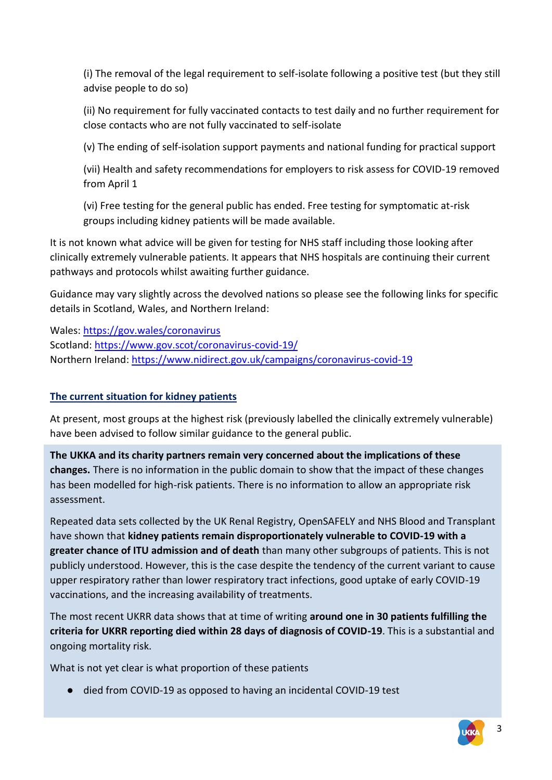(i) The removal of the legal requirement to self-isolate following a positive test (but they still advise people to do so)

(ii) No requirement for fully vaccinated contacts to test daily and no further requirement for close contacts who are not fully vaccinated to self-isolate

(v) The ending of self-isolation support payments and national funding for practical support

(vii) Health and safety recommendations for employers to risk assess for COVID-19 removed from April 1

(vi) Free testing for the general public has ended. Free testing for symptomatic at-risk groups including kidney patients will be made available.

It is not known what advice will be given for testing for NHS staff including those looking after clinically extremely vulnerable patients. It appears that NHS hospitals are continuing their current pathways and protocols whilst awaiting further guidance.

Guidance may vary slightly across the devolved nations so please see the following links for specific details in Scotland, Wales, and Northern Ireland:

Wales:<https://gov.wales/coronavirus> Scotland:<https://www.gov.scot/coronavirus-covid-19/> Northern Ireland:<https://www.nidirect.gov.uk/campaigns/coronavirus-covid-19>

## **The current situation for kidney patients**

At present, most groups at the highest risk (previously labelled the clinically extremely vulnerable) have been advised to follow similar guidance to the general public.

**The UKKA and its charity partners remain very concerned about the implications of these changes.** There is no information in the public domain to show that the impact of these changes has been modelled for high-risk patients. There is no information to allow an appropriate risk assessment.

Repeated data sets collected by the UK Renal Registry, OpenSAFELY and NHS Blood and Transplant have shown that **kidney patients remain disproportionately vulnerable to COVID-19 with a greater chance of ITU admission and of death** than many other subgroups of patients. This is not publicly understood. However, this is the case despite the tendency of the current variant to cause upper respiratory rather than lower respiratory tract infections, good uptake of early COVID-19 vaccinations, and the increasing availability of treatments.

The most recent UKRR data shows that at time of writing **around one in 30 patients fulfilling the criteria for UKRR reporting died within 28 days of diagnosis of COVID-19**. This is a substantial and ongoing mortality risk.

What is not yet clear is what proportion of these patients

● died from COVID-19 as opposed to having an incidental COVID-19 test

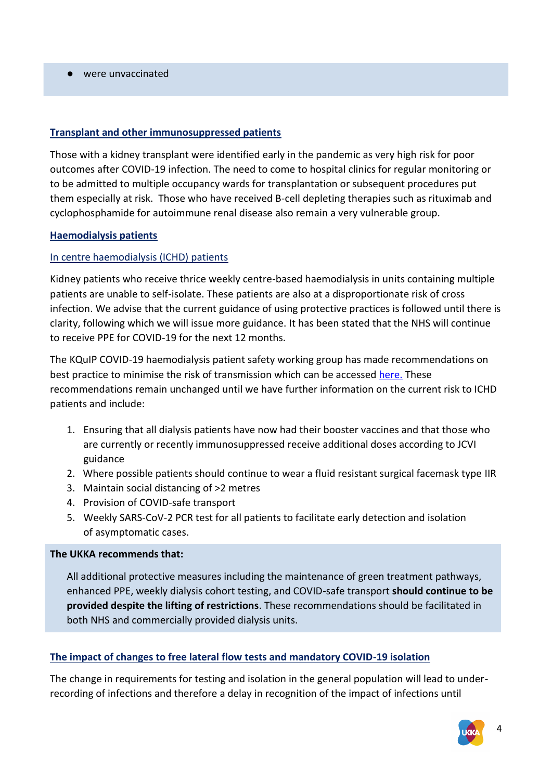● were unvaccinated

#### **Transplant and other immunosuppressed patients**

Those with a kidney transplant were identified early in the pandemic as very high risk for poor outcomes after COVID-19 infection. The need to come to hospital clinics for regular monitoring or to be admitted to multiple occupancy wards for transplantation or subsequent procedures put them especially at risk. Those who have received B-cell depleting therapies such as rituximab and cyclophosphamide for autoimmune renal disease also remain a very vulnerable group.

#### **Haemodialysis patients**

#### In centre haemodialysis (ICHD) patients

Kidney patients who receive thrice weekly centre-based haemodialysis in units containing multiple patients are unable to self-isolate. These patients are also at a disproportionate risk of cross infection. We advise that the current guidance of using protective practices is followed until there is clarity, following which we will issue more guidance. It has been stated that the NHS will continue to receive PPE for COVID-19 for the next 12 months.

The KQuIP COVID-19 haemodialysis patient safety working group has made recommendations on best practice to minimise the risk of transmission which can be accesse[d](https://ukkidney.org/health-professionals/covid-19/ukka-resources) [here.](https://ukkidney.org/sites/renal.org/files/Recommendations%20to%20minimise%20risk%20of%20transmission%20of%20COVID-19%20in%20UK%20adult%20haemodialysis%20units%2014th%20January%202022.pdf) These recommendations remain unchanged until we have further information on the current risk to ICHD patients and include:

- 1. Ensuring that all dialysis patients have now had their booster vaccines and that those who are currently or recently immunosuppressed receive additional doses according to JCVI guidance
- 2. Where possible patients should continue to wear a fluid resistant surgical facemask type IIR
- 3. Maintain social distancing of >2 metres
- 4. Provision of COVID-safe transport
- 5. Weekly SARS-CoV-2 PCR test for all patients to facilitate early detection and isolation of asymptomatic cases.

#### **The UKKA recommends that:**

All additional protective measures including the maintenance of green treatment pathways, enhanced PPE, weekly dialysis cohort testing, and COVID-safe transport **should continue to be provided despite the lifting of restrictions**. These recommendations should be facilitated in both NHS and commercially provided dialysis units.

#### **The impact of changes to free lateral flow tests and mandatory COVID-19 isolation**

The change in requirements for testing and isolation in the general population will lead to underrecording of infections and therefore a delay in recognition of the impact of infections until

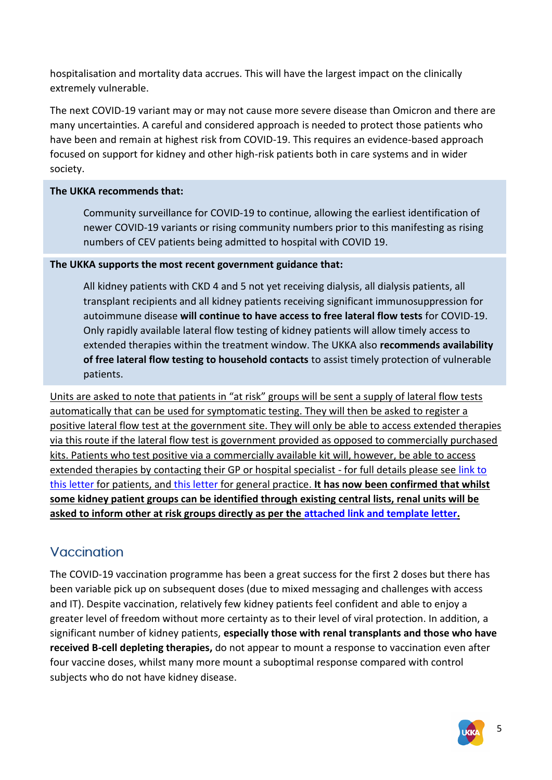hospitalisation and mortality data accrues. This will have the largest impact on the clinically extremely vulnerable.

The next COVID-19 variant may or may not cause more severe disease than Omicron and there are many uncertainties. A careful and considered approach is needed to protect those patients who have been and remain at highest risk from COVID-19. This requires an evidence-based approach focused on support for kidney and other high-risk patients both in care systems and in wider society.

#### **The UKKA recommends that:**

Community surveillance for COVID-19 to continue, allowing the earliest identification of newer COVID-19 variants or rising community numbers prior to this manifesting as rising numbers of CEV patients being admitted to hospital with COVID 19.

#### **The UKKA supports the most recent government guidance that:**

All kidney patients with CKD 4 and 5 not yet receiving dialysis, all dialysis patients, all transplant recipients and all kidney patients receiving significant immunosuppression for autoimmune disease **will continue to have access to free lateral flow tests** for COVID-19. Only rapidly available lateral flow testing of kidney patients will allow timely access to extended therapies within the treatment window. The UKKA also **recommends availability of free lateral flow testing to household contacts** to assist timely protection of vulnerable patients.

Units are asked to note that patients in "at risk" groups will be sent a supply of lateral flow tests automatically that can be used for symptomatic testing. They will then be asked to register a positive lateral flow test at the government site. They will only be able to access extended therapies via this route if the lateral flow test is government provided as opposed to commercially purchased kits. Patients who test positive via a commercially available kit will, however, be able to access extended therapies by contacting their GP or hospital specialist - for full details please see [link to](https://www.england.nhs.uk/coronavirus/documents/letter-to-patients-important-information-about-new-treatments-for-coronavirus/) [this letter](https://www.england.nhs.uk/coronavirus/documents/letter-to-patients-important-information-about-new-treatments-for-coronavirus/) for patients, and [this letter](https://www.england.nhs.uk/coronavirus/wp-content/uploads/sites/52/2021/12/C1614-Changes-to-coronavirus-testing-for-accessing-COVID-19-treatments-for-non-hospitalised-patients-310322.pdf) for general practice. **It has now been confirmed that whilst some kidney patient groups can be identified through existing central lists, renal units will be asked to inform other at risk groups directly as per the [attached link and template letter.](https://www.england.nhs.uk/coronavirus/wp-content/uploads/sites/52/2021/12/C1613-Action-to-take-contact-your-highest-risk-patients-about-using-lateral-flow-tests-to-access-COVID-19-trea-1.pdf)**

# Vaccination

The COVID-19 vaccination programme has been a great success for the first 2 doses but there has been variable pick up on subsequent doses (due to mixed messaging and challenges with access and IT). Despite vaccination, relatively few kidney patients feel confident and able to enjoy a greater level of freedom without more certainty as to their level of viral protection. In addition, a significant number of kidney patients, **especially those with renal transplants and those who have received B-cell depleting therapies,** do not appear to mount a response to vaccination even after four vaccine doses, whilst many more mount a suboptimal response compared with control subjects who do not have kidney disease.

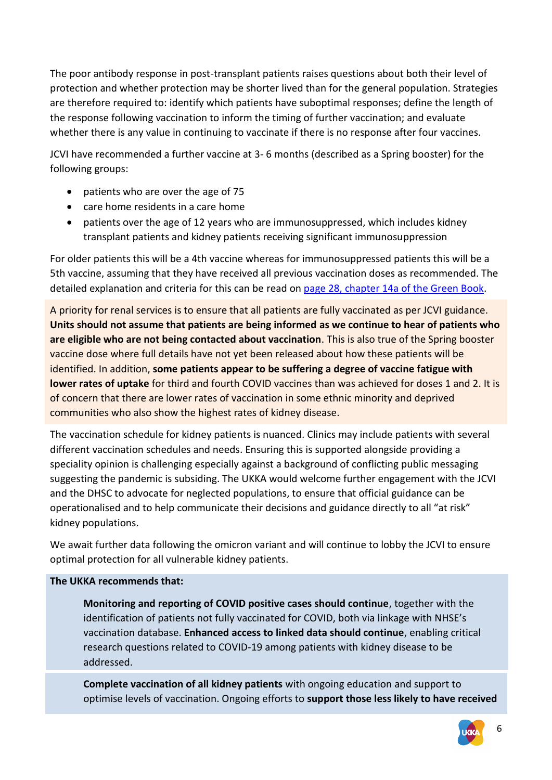The poor antibody response in post-transplant patients raises questions about both their level of protection and whether protection may be shorter lived than for the general population. Strategies are therefore required to: identify which patients have suboptimal responses; define the length of the response following vaccination to inform the timing of further vaccination; and evaluate whether there is any value in continuing to vaccinate if there is no response after four vaccines.

JCVI have recommended a further vaccine at 3- 6 months (described as a Spring booster) for the following groups:

- patients who are over the age of 75
- care home residents in a care home
- patients over the age of 12 years who are immunosuppressed, which includes kidney transplant patients and kidney patients receiving significant immunosuppression

For older patients this will be a 4th vaccine whereas for immunosuppressed patients this will be a 5th vaccine, assuming that they have received all previous vaccination doses as recommended. The detailed explanation and criteria for this can be read o[n page 28, chapter 14a of the Green Book.](https://assets.publishing.service.gov.uk/government/uploads/system/uploads/attachment_data/file/1057798/Greenbook-chapter-14a-28Feb22.pdf)

A priority for renal services is to ensure that all patients are fully vaccinated as per JCVI guidance. **Units should not assume that patients are being informed as we continue to hear of patients who are eligible who are not being contacted about vaccination**. This is also true of the Spring booster vaccine dose where full details have not yet been released about how these patients will be identified. In addition, **some patients appear to be suffering a degree of vaccine fatigue with lower rates of uptake** for third and fourth COVID vaccines than was achieved for doses 1 and 2. It is of concern that there are lower rates of vaccination in some ethnic minority and deprived communities who also show the highest rates of kidney disease.

The vaccination schedule for kidney patients is nuanced. Clinics may include patients with several different vaccination schedules and needs. Ensuring this is supported alongside providing a speciality opinion is challenging especially against a background of conflicting public messaging suggesting the pandemic is subsiding. The UKKA would welcome further engagement with the JCVI and the DHSC to advocate for neglected populations, to ensure that official guidance can be operationalised and to help communicate their decisions and guidance directly to all "at risk" kidney populations.

We await further data following the omicron variant and will continue to lobby the JCVI to ensure optimal protection for all vulnerable kidney patients.

#### **The UKKA recommends that:**

**Monitoring and reporting of COVID positive cases should continue**, together with the identification of patients not fully vaccinated for COVID, both via linkage with NHSE's vaccination database. **Enhanced access to linked data should continue**, enabling critical research questions related to COVID-19 among patients with kidney disease to be addressed.

**Complete vaccination of all kidney patients** with ongoing education and support to optimise levels of vaccination. Ongoing efforts to **support those less likely to have received** 

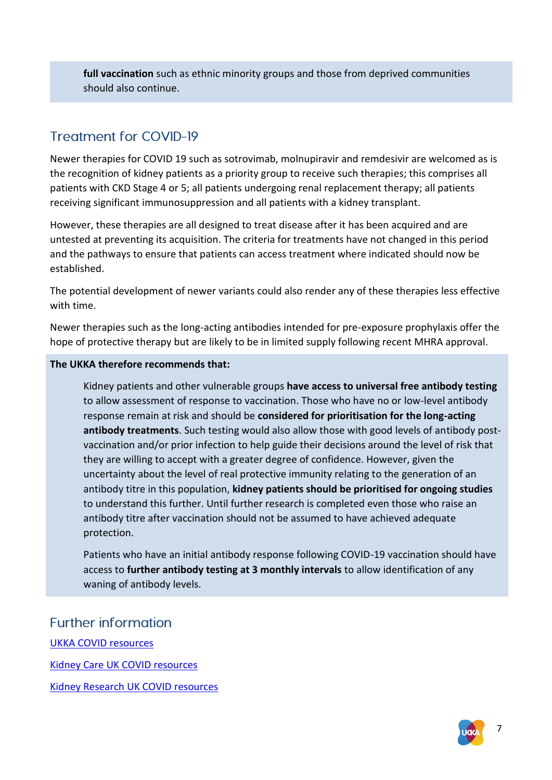**full vaccination** such as ethnic minority groups and those from deprived communities should also continue.

# **Treatment for COVID-19**

Newer therapies for COVID 19 such as sotrovimab, molnupiravir and remdesivir are welcomed as is the recognition of kidney patients as a priority group to receive such therapies; this comprises all patients with CKD Stage 4 or 5; all patients undergoing renal replacement therapy; all patients receiving significant immunosuppression and all patients with a kidney transplant.

However, these therapies are all designed to treat disease after it has been acquired and are untested at preventing its acquisition. The criteria for treatments have not changed in this period and the pathways to ensure that patients can access treatment where indicated should now be established.

The potential development of newer variants could also render any of these therapies less effective with time.

Newer therapies such as the long-acting antibodies intended for pre-exposure prophylaxis offer the hope of protective therapy but are likely to be in limited supply following recent MHRA approval.

#### **The UKKA therefore recommends that:**

Kidney patients and other vulnerable groups **have access to universal free antibody testing** to allow assessment of response to vaccination. Those who have no or low-level antibody response remain at risk and should be **considered for prioritisation for the long-acting antibody treatments**. Such testing would also allow those with good levels of antibody postvaccination and/or prior infection to help guide their decisions around the level of risk that they are willing to accept with a greater degree of confidence. However, given the uncertainty about the level of real protective immunity relating to the generation of an antibody titre in this population, **kidney patients should be prioritised for ongoing studies** to understand this further. Until further research is completed even those who raise an antibody titre after vaccination should not be assumed to have achieved adequate protection.

Patients who have an initial antibody response following COVID-19 vaccination should have access to **further antibody testing at 3 monthly intervals** to allow identification of any waning of antibody levels.

## **Further information**

[UKKA COVID](https://ukkidney.org/health-professionals/covid-19/ukka-resources) resources [Kidney Care UK COVID](https://www.kidneycareuk.org/news-and-campaigns/news/coronavirus-covid-19-guidance-people-kidney-disease/) resources [Kidney Research UK COVID](https://www.kidneyresearchuk.org/kidney-health-information/coronavirus-and-kidney-disease/) resources



7